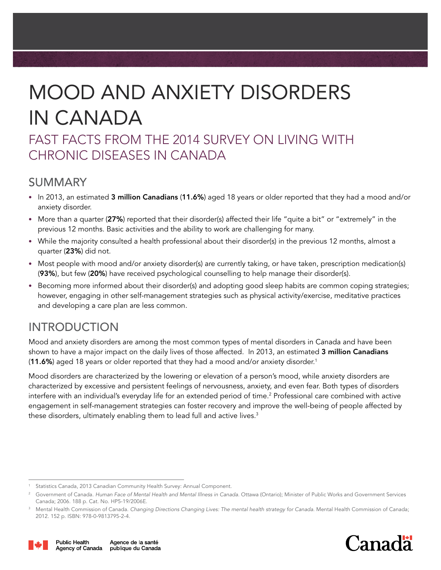# MOOD AND ANXIETY DISORDERS IN CANADA

FAST FACTS FROM THE 2014 SURVEY ON LIVING WITH CHRONIC DISEASES IN CANADA

## **SUMMARY**

- In 2013, an estimated 3 million Canadians (11.6%) aged 18 years or older reported that they had a mood and/or anxiety disorder.
- More than a quarter (27%) reported that their disorder(s) affected their life "quite a bit" or "extremely" in the previous 12 months. Basic activities and the ability to work are challenging for many.
- While the majority consulted a health professional about their disorder(s) in the previous 12 months, almost a quarter (23%) did not.
- Most people with mood and/or anxiety disorder(s) are currently taking, or have taken, prescription medication(s) (93%), but few (20%) have received psychological counselling to help manage their disorder(s).
- Becoming more informed about their disorder(s) and adopting good sleep habits are common coping strategies; however, engaging in other self-management strategies such as physical activity/exercise, meditative practices and developing a care plan are less common.

## INTRODUCTION

Mood and anxiety disorders are among the most common types of mental disorders in Canada and have been shown to have a major impact on the daily lives of those affected. In 2013, an estimated 3 million Canadians (11.6%) aged 18 years or older reported that they had a mood and/or anxiety disorder.<sup>1</sup>

Mood disorders are characterized by the lowering or elevation of a person's mood, while anxiety disorders are characterized by excessive and persistent feelings of nervousness, anxiety, and even fear. Both types of disorders interfere with an individual's everyday life for an extended period of time.<sup>2</sup> Professional care combined with active engagement in self-management strategies can foster recovery and improve the well-being of people affected by these disorders, ultimately enabling them to lead full and active lives.<sup>3</sup>

<sup>3</sup> Mental Health Commission of Canada. *Changing Directions Changing Lives: The mental health strategy for Canada*. Mental Health Commission of Canada; 2012. 152 p. ISBN: 978-0-9813795-2-4.





Statistics Canada, 2013 Canadian Community Health Survey: Annual Component.

<sup>2</sup> Government of Canada. *Human Face of Mental Health and Mental Illness in Canada*. Ottawa (Ontario); Minister of Public Works and Government Services Canada; 2006. 188 p. Cat. No. HP5-19/2006E.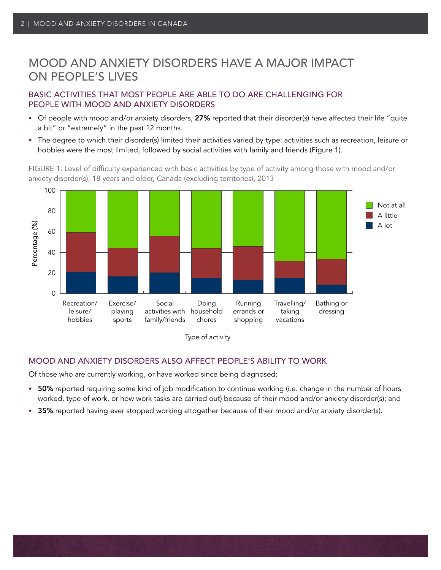## MOOD AND ANXIETY DISORDERS HAVE A MAJOR IMPACT ON PEOPLE'S LIVES

#### BASIC ACTIVITIES THAT MOST PEOPLE ARE ABLE TO DO ARE CHALLENGING FOR PEOPLE WITH MOOD AND ANXIETY DISORDERS

- Of people with mood and/or anxiety disorders, 27% reported that their disorder(s) have affected their life "quite a bit" or "extremely" in the past 12 months.
- The degree to which their disorder(s) limited their activities varied by type: activities such as recreation, leisure or hobbies were the most limited, followed by social activities with family and friends (Figure 1).

FIGURE 1: Level of difficulty experienced with basic activities by type of activity among those with mood and/or anxiety disorder(s), 18 years and older, Canada (excluding territories), 2013



#### MOOD AND ANXIETY DISORDERS ALSO AFFECT PEOPLE'S ABILITY TO WORK

Of those who are currently working, or have worked since being diagnosed:

- 50% reported requiring some kind of job modification to continue working (i.e. change in the number of hours worked, type of work, or how work tasks are carried out) because of their mood and/or anxiety disorder(s); and
- 35% reported having ever stopped working altogether because of their mood and/or anxiety disorder(s).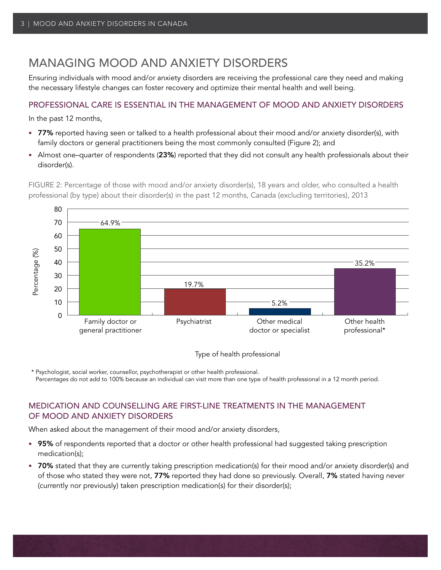## MANAGING MOOD AND ANXIETY DISORDERS

Ensuring individuals with mood and/or anxiety disorders are receiving the professional care they need and making the necessary lifestyle changes can foster recovery and optimize their mental health and well being.

#### PROFESSIONAL CARE IS ESSENTIAL IN THE MANAGEMENT OF MOOD and ANXIETY DISORDERS

In the past 12 months,

- 77% reported having seen or talked to a health professional about their mood and/or anxiety disorder(s), with family doctors or general practitioners being the most commonly consulted (Figure 2); and
- Almost one–quarter of respondents (23%) reported that they did not consult any health professionals about their disorder(s).

FIGURE 2: Percentage of those with mood and/or anxiety disorder(s), 18 years and older, who consulted a health professional (by type) about their disorder(s) in the past 12 months, Canada (excluding territories), 2013



#### Type of health professional

\* Psychologist, social worker, counsellor, psychotherapist or other health professional. Percentages do not add to 100% because an individual can visit more than one type of health professional in a 12 month period.

### MEDICATION AND COUNSELLING ARE FIRST-LINE TREATMENTS IN THE MANAGEMENT OF MOOD AND ANXIETY DISORDERS

When asked about the management of their mood and/or anxiety disorders,

- 95% of respondents reported that a doctor or other health professional had suggested taking prescription medication(s);
- 70% stated that they are currently taking prescription medication(s) for their mood and/or anxiety disorder(s) and of those who stated they were not, 77% reported they had done so previously. Overall, 7% stated having never